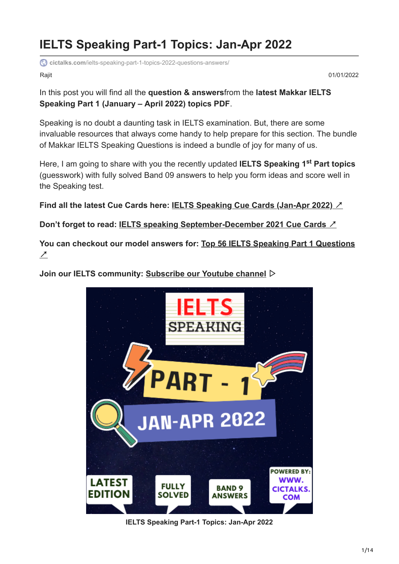# **IELTS Speaking Part-1 Topics: Jan-Apr 2022**

**cictalks.com**[/ielts-speaking-part-1-topics-2022-questions-answers/](https://cictalks.com/ielts-speaking-part-1-topics-2022-questions-answers/)

Rajit 01/01/2022

In this post you will find all the **question & answers**from the **latest Makkar IELTS Speaking Part 1 (January – April 2022) topics PDF**.

Speaking is no doubt a daunting task in IELTS examination. But, there are some invaluable resources that always come handy to help prepare for this section. The bundle of Makkar IELTS Speaking Questions is indeed a bundle of joy for many of us.

Here, I am going to share with you the recently updated **IELTS Speaking 1<sup>st</sup> Part topics** (guesswork) with fully solved Band 09 answers to help you form ideas and score well in the Speaking test.

**Find all the latest Cue Cards here: [IELTS Speaking Cue Cards \(Jan-Apr 2022\)](https://cictalks.com/ielts-speaking-part-2-3-cue-cards-follow-ups-2022/)** ↗

**Don't forget to read: [IELTS speaking September-December 2021 Cue Cards](https://cictalks.com/latest-makkar-ielts-sept-dec-2021-speaking-cue-cards/)** ↗

**[You can checkout our model answers for: Top 56 IELTS Speaking Part 1 Questions](https://cictalks.com/top-56-ielts-speaking-intro-questions-2021-answers/)** ↗

**Join our IELTS community: [Subscribe our Youtube channel](https://www.youtube.com/channel/UCX8UEO8u7kmiMIqiTO0dHhA?sub_confirmation=1)** ▷



**IELTS Speaking Part-1 Topics: Jan-Apr 2022**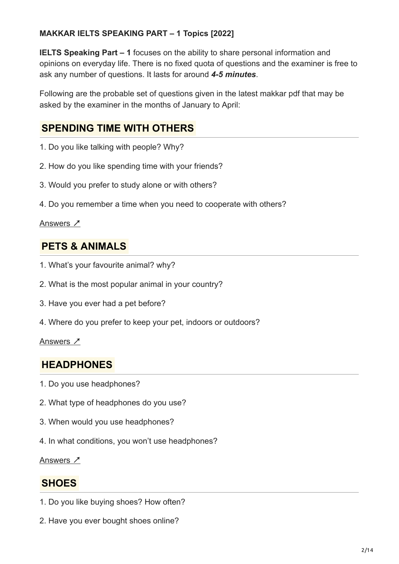### **MAKKAR IELTS SPEAKING PART – 1 Topics [2022]**

**IELTS Speaking Part – 1** focuses on the ability to share personal information and opinions on everyday life. There is no fixed quota of questions and the examiner is free to ask any number of questions. It lasts for around *4-5 minutes*.

Following are the probable set of questions given in the latest makkar pdf that may be asked by the examiner in the months of January to April:

## **SPENDING TIME WITH OTHERS**

- 1. Do you like talking with people? Why?
- 2. How do you like spending time with your friends?
- 3. Would you prefer to study alone or with others?
- 4. Do you remember a time when you need to cooperate with others?

### [Answers](https://cictalks.com/ielts-speaking-part-1-spending-time-with-others/) <sub>1</sub>

### **PETS & ANIMALS**

- 1. What's your favourite animal? why?
- 2. What is the most popular animal in your country?
- 3. Have you ever had a pet before?
- 4. Where do you prefer to keep your pet, indoors or outdoors?

### [Answers](https://cictalks.com/ielts-speaking-part-1-pets-animals-headphones-shoes/) ↗

### **HEADPHONES**

- 1. Do you use headphones?
- 2. What type of headphones do you use?
- 3. When would you use headphones?
- 4. In what conditions, you won't use headphones?

[Answers](https://cictalks.com/ielts-speaking-part-1-pets-animals-headphones-shoes/) ↗

### **SHOES**

- 1. Do you like buying shoes? How often?
- 2. Have you ever bought shoes online?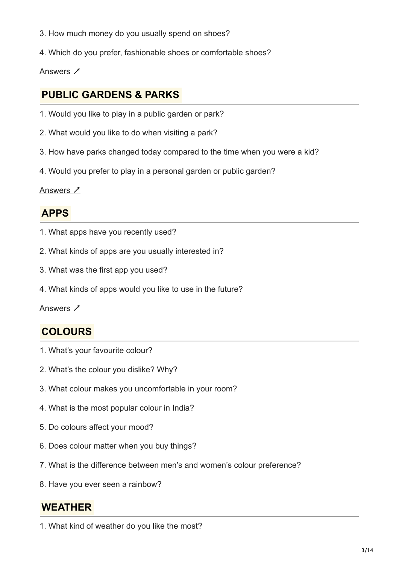- 3. How much money do you usually spend on shoes?
- 4. Which do you prefer, fashionable shoes or comfortable shoes?

### [Answers](https://cictalks.com/ielts-speaking-part-1-pets-animals-headphones-shoes/) ↗

## **PUBLIC GARDENS & PARKS**

- 1. Would you like to play in a public garden or park?
- 2. What would you like to do when visiting a park?
- 3. How have parks changed today compared to the time when you were a kid?
- 4. Would you prefer to play in a personal garden or public garden?

### [Answers](https://cictalks.com/ielts-speaking-part-1-public-gardens-parks-apps-colours/) Z

## **APPS**

- 1. What apps have you recently used?
- 2. What kinds of apps are you usually interested in?
- 3. What was the first app you used?
- 4. What kinds of apps would you like to use in the future?

<u>[Answers](https://cictalks.com/ielts-speaking-part-1-public-gardens-parks-apps-colours/) ∠</u>

## **COLOURS**

- 1. What's your favourite colour?
- 2. What's the colour you dislike? Why?
- 3. What colour makes you uncomfortable in your room?
- 4. What is the most popular colour in India?
- 5. Do colours affect your mood?
- 6. Does colour matter when you buy things?
- 7. What is the difference between men's and women's colour preference?
- 8. Have you ever seen a rainbow?

## **WEATHER**

1. What kind of weather do you like the most?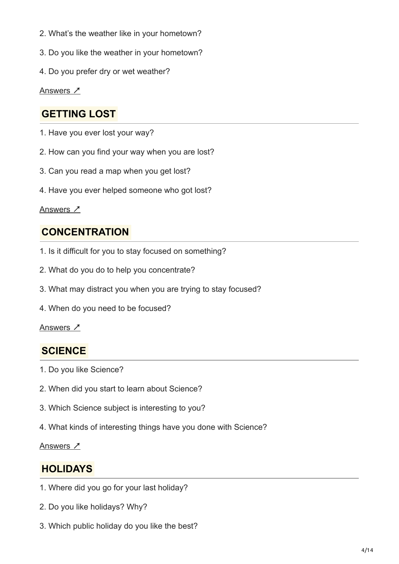- 2. What's the weather like in your hometown?
- 3. Do you like the weather in your hometown?
- 4. Do you prefer dry or wet weather?

[Answers](https://cictalks.com/ielts-speaking-part-1-weather-getting-lost-concentration/) <u>プ</u>

## **GETTING LOST**

- 1. Have you ever lost your way?
- 2. How can you find your way when you are lost?
- 3. Can you read a map when you get lost?
- 4. Have you ever helped someone who got lost?

### [Answers](https://cictalks.com/ielts-speaking-part-1-weather-getting-lost-concentration/) <u>入</u>

## **CONCENTRATION**

- 1. Is it difficult for you to stay focused on something?
- 2. What do you do to help you concentrate?
- 3. What may distract you when you are trying to stay focused?
- 4. When do you need to be focused?

### [Answers](https://cictalks.com/ielts-speaking-part-1-weather-getting-lost-concentration/) ↗

### **SCIENCE**

- 1. Do you like Science?
- 2. When did you start to learn about Science?
- 3. Which Science subject is interesting to you?
- 4. What kinds of interesting things have you done with Science?

### [Answers](https://cictalks.com/ielts-speaking-part-1-science-holidays/) Z

## **HOLIDAYS**

- 1. Where did you go for your last holiday?
- 2. Do you like holidays? Why?
- 3. Which public holiday do you like the best?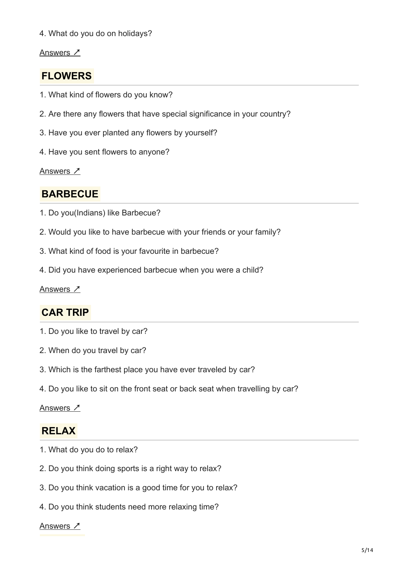4. What do you do on holidays?

### [Answers](https://cictalks.com/ielts-speaking-part-1-science-holidays/) <u>プ</u>

## **FLOWERS**

- 1. What kind of flowers do you know?
- 2. Are there any flowers that have special significance in your country?
- 3. Have you ever planted any flowers by yourself?
- 4. Have you sent flowers to anyone?

[Answers](https://cictalks.com/ielts-speaking-part-1-flowers-que-ans-vocabulary/) Z

## **BARBECUE**

- 1. Do you(Indians) like Barbecue?
- 2. Would you like to have barbecue with your friends or your family?
- 3. What kind of food is your favourite in barbecue?
- 4. Did you have experienced barbecue when you were a child?

### [Answers](https://cictalks.com/ielts-speaking-part-1-barbecue-cooking-ques-ans-vocab/) ∠

## **CAR TRIP**

- 1. Do you like to travel by car?
- 2. When do you travel by car?
- 3. Which is the farthest place you have ever traveled by car?
- 4. Do you like to sit on the front seat or back seat when travelling by car?

#### [Answers](https://cictalks.com/ielts-speaking-part-1-car-trip-ques-ans-vocabulary/) ↗

### **RELAX**

- 1. What do you do to relax?
- 2. Do you think doing sports is a right way to relax?
- 3. Do you think vacation is a good time for you to relax?
- 4. Do you think students need more relaxing time?

#### [Answers](https://cictalks.com/ielts-speaking-part-1-relax-ques-ans-band-9-vocabulary/) ↗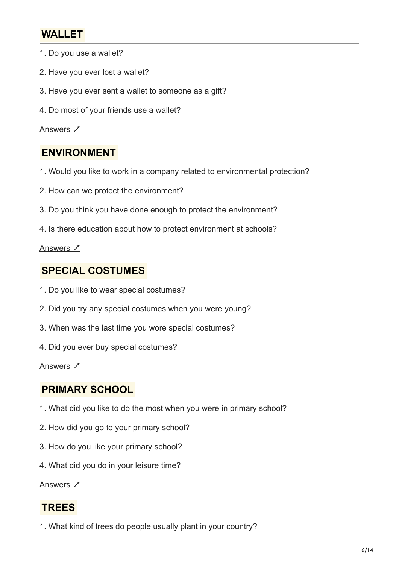## **WALLET**

- 1. Do you use a wallet?
- 2. Have you ever lost a wallet?
- 3. Have you ever sent a wallet to someone as a gift?
- 4. Do most of your friends use a wallet?

#### [Answers](https://cictalks.com/ielts-speaking-part-1-topic-wallet-ans-vocabulary/) <u>入</u>

## **ENVIRONMENT**

- 1. Would you like to work in a company related to environmental protection?
- 2. How can we protect the environment?
- 3. Do you think you have done enough to protect the environment?
- 4. Is there education about how to protect environment at schools?

### [Answers](https://cictalks.com/ielts-speaking-part-1-topic-environment-ans-vocabulary/) ↗

### **SPECIAL COSTUMES**

- 1. Do you like to wear special costumes?
- 2. Did you try any special costumes when you were young?
- 3. When was the last time you wore special costumes?
- 4. Did you ever buy special costumes?

### [Answers](https://cictalks.com/ielts-speaking-part-1-topic-special-costumes-ans-vocabulary/) <u>プ</u>

### **PRIMARY SCHOOL**

- 1. What did you like to do the most when you were in primary school?
- 2. How did you go to your primary school?
- 3. How do you like your primary school?
- 4. What did you do in your leisure time?

[Answers](https://cictalks.com/ielts-speaking-part-1-primary-school-qa-band-9-vocabulary/) Z

### **TREES**

1. What kind of trees do people usually plant in your country?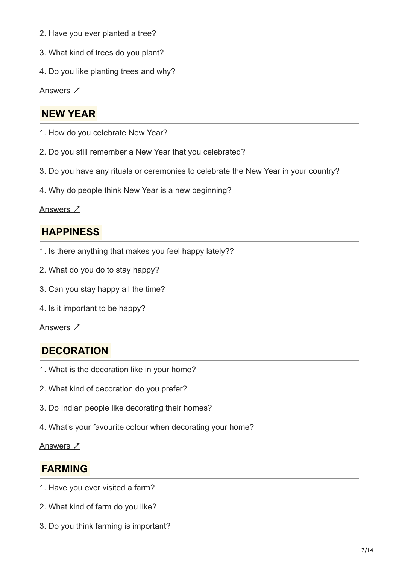- 2. Have you ever planted a tree?
- 3. What kind of trees do you plant?
- 4. Do you like planting trees and why?

[Answers](https://cictalks.com/ielts-speaking-part-1-topic-trees-que-ans-vocabulary/) <u>プ</u>

## **NEW YEAR**

- 1. How do you celebrate New Year?
- 2. Do you still remember a New Year that you celebrated?
- 3. Do you have any rituals or ceremonies to celebrate the New Year in your country?
- 4. Why do people think New Year is a new beginning?

### [Answers](https://cictalks.com/ielts-speaking-part-1-new-year-que-ans-vocabulary/) <u>入</u>

## **HAPPINESS**

- 1. Is there anything that makes you feel happy lately??
- 2. What do you do to stay happy?
- 3. Can you stay happy all the time?
- 4. Is it important to be happy?

### [Answers](https://cictalks.com/ielts-speaking-part-1-happiness-feel-happy-qa-vocabulary/) Z

## **DECORATION**

- 1. What is the decoration like in your home?
- 2. What kind of decoration do you prefer?
- 3. Do Indian people like decorating their homes?
- 4. What's your favourite colour when decorating your home?

### [Answers](https://cictalks.com/ielts-speaking-part-1-decoration-que-ans-vocabulary/) ↗

## **FARMING**

- 1. Have you ever visited a farm?
- 2. What kind of farm do you like?
- 3. Do you think farming is important?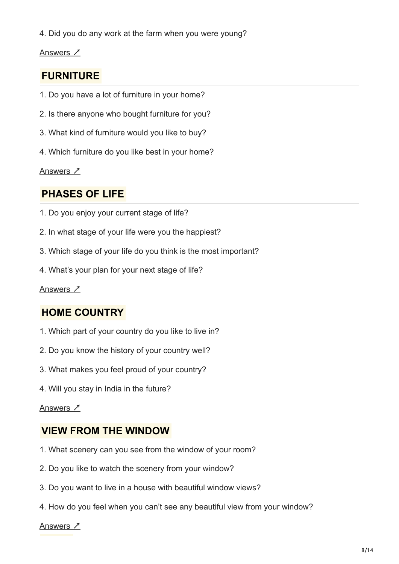4. Did you do any work at the farm when you were young?

[Answers](https://cictalks.com/ielts-speaking-part-1-farming-que-ans-vocabulary/) <u>プ</u>

## **FURNITURE**

- 1. Do you have a lot of furniture in your home?
- 2. Is there anyone who bought furniture for you?
- 3. What kind of furniture would you like to buy?
- 4. Which furniture do you like best in your home?

[Answers](https://cictalks.com/ielts-speaking-part-1-furniture-que-ans-vocabulary/) Z

## **PHASES OF LIFE**

- 1. Do you enjoy your current stage of life?
- 2. In what stage of your life were you the happiest?
- 3. Which stage of your life do you think is the most important?
- 4. What's your plan for your next stage of life?

[Answers](https://cictalks.com/ielts-speaking-part-1-stages-of-life-que-ans-vocab/) ∠

## **HOME COUNTRY**

- 1. Which part of your country do you like to live in?
- 2. Do you know the history of your country well?
- 3. What makes you feel proud of your country?
- 4. Will you stay in India in the future?

### [Answers](https://cictalks.com/ielts-speaking-topic-part-1-home-country/) ↗

## **VIEW FROM THE WINDOW**

- 1. What scenery can you see from the window of your room?
- 2. Do you like to watch the scenery from your window?
- 3. Do you want to live in a house with beautiful window views?
- 4. How do you feel when you can't see any beautiful view from your window?

[Answers](https://cictalks.com/ielts-speaking-part-1-window-view-ans-vocab/) ↗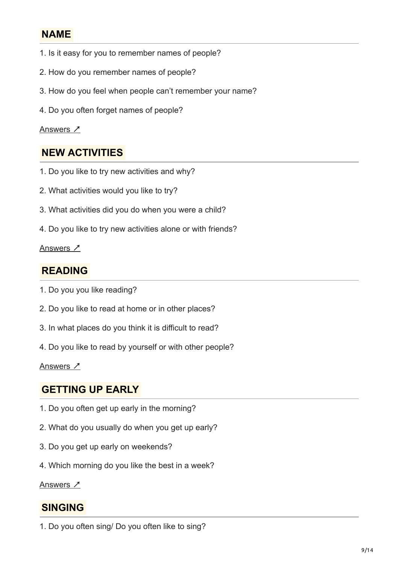## **NAME**

- 1. Is it easy for you to remember names of people?
- 2. How do you remember names of people?
- 3. How do you feel when people can't remember your name?
- 4. Do you often forget names of people?

### [Answers](https://cictalks.com/ielts-speaking-part-1-name-que-ans-vocabulary/) Z

## **NEW ACTIVITIES**

- 1. Do you like to try new activities and why?
- 2. What activities would you like to try?
- 3. What activities did you do when you were a child?
- 4. Do you like to try new activities alone or with friends?

### [Answers](https://cictalks.com/ielts-speaking-part-1-topic-new-activities/) <u>入</u>

## **READING**

- 1. Do you you like reading?
- 2. Do you like to read at home or in other places?
- 3. In what places do you think it is difficult to read?
- 4. Do you like to read by yourself or with other people?

### [Answers](https://cictalks.com/ielts-speaking-part-1-reading-que-ans-vocabulary/) <u>プ</u>

### **GETTING UP EARLY**

- 1. Do you often get up early in the morning?
- 2. What do you usually do when you get up early?
- 3. Do you get up early on weekends?
- 4. Which morning do you like the best in a week?

[Answers](https://cictalks.com/ielts-speaking-part-1-topic-getting-up-early/) ∠

## **SINGING**

1. Do you often sing/ Do you often like to sing?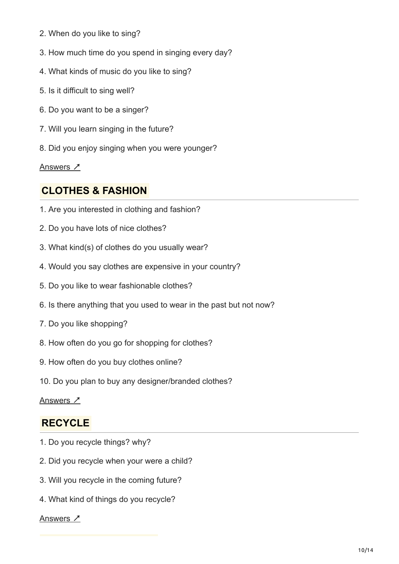- 2. When do you like to sing?
- 3. How much time do you spend in singing every day?
- 4. What kinds of music do you like to sing?
- 5. Is it difficult to sing well?
- 6. Do you want to be a singer?
- 7. Will you learn singing in the future?
- 8. Did you enjoy singing when you were younger?

[Answers](https://cictalks.com/ielts-speaking-part-1-singing-que-ans-vocabulary/) ↗

## **CLOTHES & FASHION**

- 1. Are you interested in clothing and fashion?
- 2. Do you have lots of nice clothes?
- 3. What kind(s) of clothes do you usually wear?
- 4. Would you say clothes are expensive in your country?
- 5. Do you like to wear fashionable clothes?
- 6. Is there anything that you used to wear in the past but not now?
- 7. Do you like shopping?
- 8. How often do you go for shopping for clothes?
- 9. How often do you buy clothes online?
- 10. Do you plan to buy any designer/branded clothes?

Answers ↗

## **RECYCLE**

- 1. Do you recycle things? why?
- 2. Did you recycle when your were a child?
- 3. Will you recycle in the coming future?
- 4. What kind of things do you recycle?

### [Answers](https://cictalks.com/ielts-speaking-part-1-text-messaging-sports-recycle/) ↗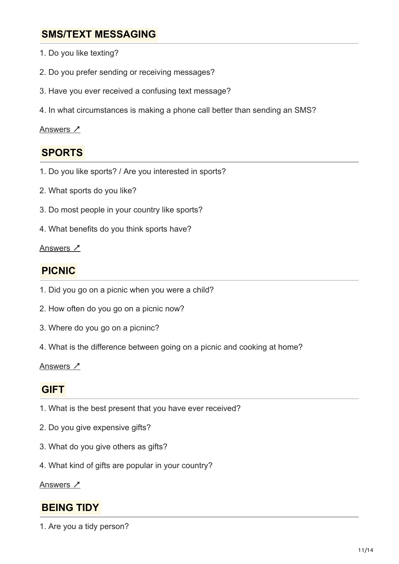## **SMS/TEXT MESSAGING**

- 1. Do you like texting?
- 2. Do you prefer sending or receiving messages?
- 3. Have you ever received a confusing text message?
- 4. In what circumstances is making a phone call better than sending an SMS?

#### [Answers](https://cictalks.com/ielts-speaking-part-1-text-messaging-sports-recycle/) <u>プ</u>

## **SPORTS**

- 1. Do you like sports? / Are you interested in sports?
- 2. What sports do you like?
- 3. Do most people in your country like sports?
- 4. What benefits do you think sports have?

#### [Answers](https://cictalks.com/ielts-speaking-part-1-text-messaging-sports-recycle/) <sub>1</sub>

## **PICNIC**

- 1. Did you go on a picnic when you were a child?
- 2. How often do you go on a picnic now?
- 3. Where do you go on a picninc?
- 4. What is the difference between going on a picnic and cooking at home?

### Answers ↗

### **GIFT**

- 1. What is the best present that you have ever received?
- 2. Do you give expensive gifts?
- 3. What do you give others as gifts?
- 4. What kind of gifts are popular in your country?

Answers Z

## **BEING TIDY**

1. Are you a tidy person?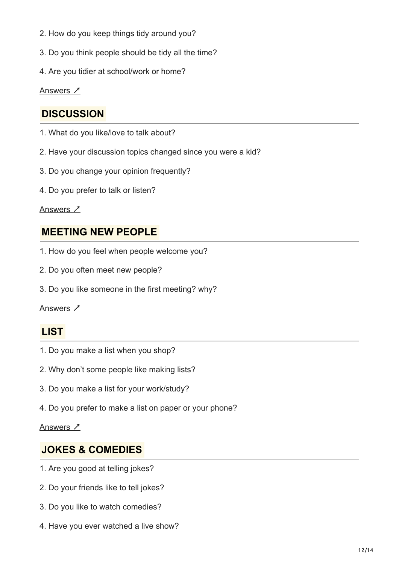- 2. How do you keep things tidy around you?
- 3. Do you think people should be tidy all the time?
- 4. Are you tidier at school/work or home?

Answers <u>プ</u>

## **DISCUSSION**

- 1. What do you like/love to talk about?
- 2. Have your discussion topics changed since you were a kid?
- 3. Do you change your opinion frequently?
- 4. Do you prefer to talk or listen?

#### Answers <u>入</u>

### **MEETING NEW PEOPLE**

- 1. How do you feel when people welcome you?
- 2. Do you often meet new people?
- 3. Do you like someone in the first meeting? why?

#### <u>Answers ∠</u>

## **LIST**

- 1. Do you make a list when you shop?
- 2. Why don't some people like making lists?
- 3. Do you make a list for your work/study?
- 4. Do you prefer to make a list on paper or your phone?

### <u>Answers プ</u>

### **JOKES & COMEDIES**

- 1. Are you good at telling jokes?
- 2. Do your friends like to tell jokes?
- 3. Do you like to watch comedies?
- 4. Have you ever watched a live show?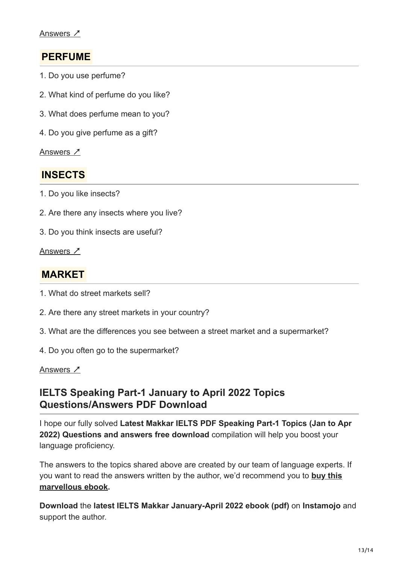## **PERFUME**

- 1. Do you use perfume?
- 2. What kind of perfume do you like?
- 3. What does perfume mean to you?
- 4. Do you give perfume as a gift?

Answers ↗

### **INSECTS**

- 1. Do you like insects?
- 2. Are there any insects where you live?
- 3. Do you think insects are useful?

Answers ↗

### **MARKET**

- 1. What do street markets sell?
- 2. Are there any street markets in your country?
- 3. What are the differences you see between a street market and a supermarket?
- 4. Do you often go to the supermarket?

### Answers ↗

### **IELTS Speaking Part-1 January to April 2022 Topics Questions/Answers PDF Download**

I hope our fully solved **Latest Makkar IELTS PDF Speaking Part-1 Topics (Jan to Apr 2022) Questions and answers free download** compilation will help you boost your language proficiency.

The answers to the topics shared above are created by our team of language experts. If [you want to read the answers written by the author, we'd recommend you to](https://www.instamojo.com/MAKKARIELTS1/buy-now-makkarielts-speaking-jan-apr-2022-fi/?ref=offer_page_more) **buy this marvellous ebook.**

**Download** the **latest IELTS Makkar January-April 2022 ebook (pdf)** on **Instamojo** and support the author.